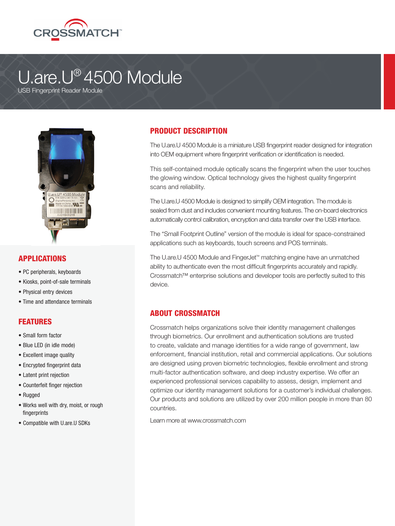

# U.are.U® 4500 Module

USB Fingerprint Reader Module



### APPLICATIONS

- PC peripherals, keyboards
- Kiosks, point-of-sale terminals
- Physical entry devices
- Time and attendance terminals

### FEATURES

- Small form factor
- Blue LED (in idle mode)
- Excellent image quality
- Encrypted fingerprint data
- Latent print rejection
- Counterfeit finger rejection
- Rugged
- Works well with dry, moist, or rough fingerprints
- Compatible with U.are.U SDKs

### PRODUCT DESCRIPTION

The U.are.U 4500 Module is a miniature USB fingerprint reader designed for integration into OEM equipment where fingerprint verification or identification is needed.

This self-contained module optically scans the fingerprint when the user touches the glowing window. Optical technology gives the highest quality fingerprint scans and reliability.

The U.are.U 4500 Module is designed to simplify OEM integration. The module is sealed from dust and includes convenient mounting features. The on-board electronics automatically control calibration, encryption and data transfer over the USB interface.

The "Small Footprint Outline" version of the module is ideal for space-constrained applications such as keyboards, touch screens and POS terminals.

The U.are.U 4500 Module and FingerJet™ matching engine have an unmatched ability to authenticate even the most difficult fingerprints accurately and rapidly. Crossmatch™ enterprise solutions and developer tools are perfectly suited to this device.

### ABOUT CROSSMATCH

Crossmatch helps organizations solve their identity management challenges through biometrics. Our enrollment and authentication solutions are trusted to create, validate and manage identities for a wide range of government, law enforcement, financial institution, retail and commercial applications. Our solutions are designed using proven biometric technologies, flexible enrollment and strong multi-factor authentication software, and deep industry expertise. We offer an experienced professional services capability to assess, design, implement and optimize our identity management solutions for a customer's individual challenges. Our products and solutions are utilized by over 200 million people in more than 80 countries.

Learn more at www.crossmatch.com